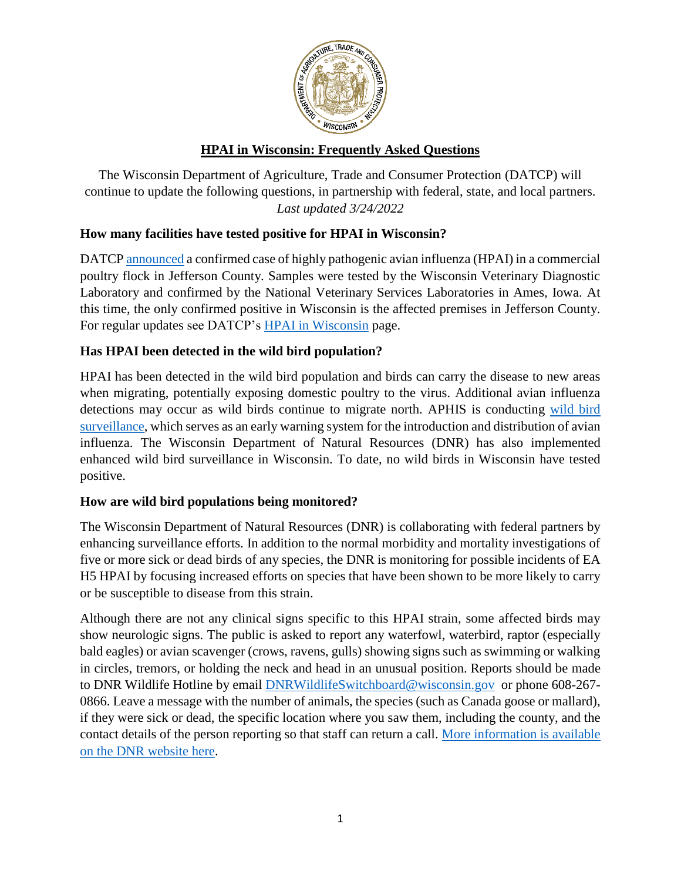

# **HPAI in Wisconsin: Frequently Asked Questions**

The Wisconsin Department of Agriculture, Trade and Consumer Protection (DATCP) will continue to update the following questions, in partnership with federal, state, and local partners. *Last updated 3/24/2022*

## **How many facilities have tested positive for HPAI in Wisconsin?**

DATC[P announced](https://datcp.wi.gov/Documents2/20220314HPAIJeffersonCo.pdf) a confirmed case of highly pathogenic avian influenza (HPAI) in a commercial poultry flock in Jefferson County. Samples were tested by the Wisconsin Veterinary Diagnostic Laboratory and confirmed by the National Veterinary Services Laboratories in Ames, Iowa. At this time, the only confirmed positive in Wisconsin is the affected premises in Jefferson County. For regular updates see DATCP's [HPAI in Wisconsin](https://datcp.wi.gov/Pages/Programs_Services/HPAIWisconsin.aspx) page.

## **Has HPAI been detected in the wild bird population?**

HPAI has been detected in the wild bird population and birds can carry the disease to new areas when migrating, potentially exposing domestic poultry to the virus. Additional avian influenza detections may occur as wild birds continue to migrate north. APHIS is conducting [wild bird](https://www.aphis.usda.gov/aphis/ourfocus/animalhealth/animal-disease-information/avian/avian-influenza/defend-the-flock-ai-wild-birds)  [surveillance,](https://www.aphis.usda.gov/aphis/ourfocus/animalhealth/animal-disease-information/avian/avian-influenza/defend-the-flock-ai-wild-birds) which serves as an early warning system for the introduction and distribution of avian influenza. The Wisconsin Department of Natural Resources (DNR) has also implemented enhanced wild bird surveillance in Wisconsin. To date, no wild birds in Wisconsin have tested positive.

### **How are wild bird populations being monitored?**

The Wisconsin Department of Natural Resources (DNR) is collaborating with federal partners by enhancing surveillance efforts. In addition to the normal morbidity and mortality investigations of five or more sick or dead birds of any species, the DNR is monitoring for possible incidents of EA H5 HPAI by focusing increased efforts on species that have been shown to be more likely to carry or be susceptible to disease from this strain.

Although there are not any clinical signs specific to this HPAI strain, some affected birds may show neurologic signs. The public is asked to report any waterfowl, waterbird, raptor (especially bald eagles) or avian scavenger (crows, ravens, gulls) showing signs such as swimming or walking in circles, tremors, or holding the neck and head in an unusual position. Reports should be made to DNR Wildlife Hotline by email [DNRWildlifeSwitchboard@wisconsin.gov](mailto:DNRWildlifeSwitchboard@wisconsin.gov) or phone 608-267- 0866. Leave a message with the number of animals, the species (such as Canada goose or mallard), if they were sick or dead, the specific location where you saw them, including the county, and the contact details of the person reporting so that staff can return a call. [More information is available](https://dnr.wisconsin.gov/topic/WildlifeHabitat/wildlifehealth)  [on the DNR website here.](https://dnr.wisconsin.gov/topic/WildlifeHabitat/wildlifehealth)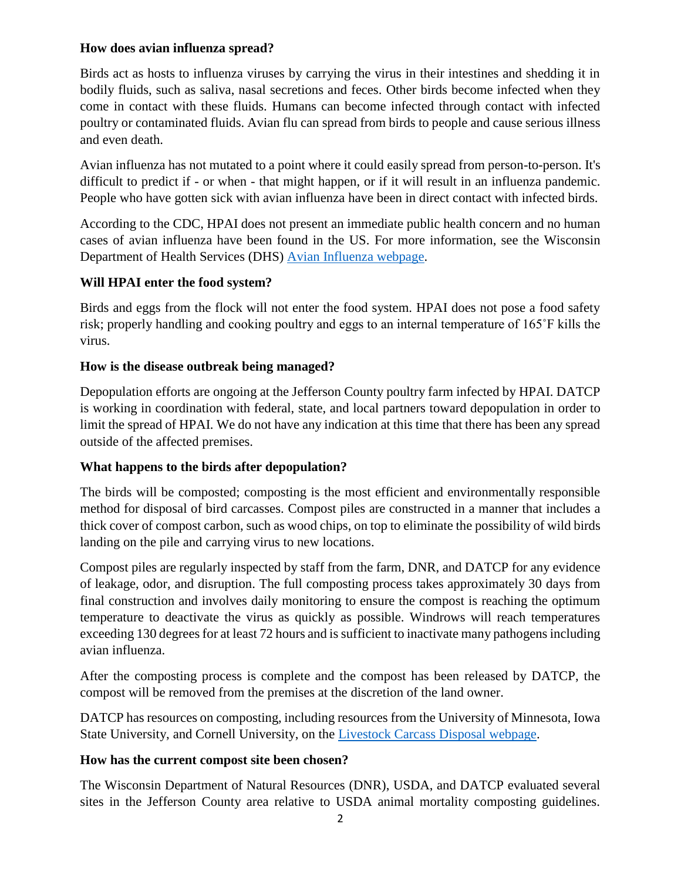### **How does avian influenza spread?**

Birds act as hosts to influenza viruses by carrying the virus in their intestines and shedding it in bodily fluids, such as saliva, nasal secretions and feces. Other birds become infected when they come in contact with these fluids. Humans can become infected through contact with infected poultry or contaminated fluids. Avian flu can spread from birds to people and cause serious illness and even death.

Avian influenza has not mutated to a point where it could easily spread from person-to-person. It's difficult to predict if - or when - that might happen, or if it will result in an influenza pandemic. People who have gotten sick with avian influenza have been in direct contact with infected birds.

According to the CDC, HPAI does not present an immediate public health concern and no human cases of avian influenza have been found in the US. For more information, see the Wisconsin Department of Health Services (DHS) [Avian Influenza webpage.](https://www.dhs.wisconsin.gov/influenza/avian.htm)

### **Will HPAI enter the food system?**

Birds and eggs from the flock will not enter the food system. HPAI does not pose a food safety risk; properly handling and cooking poultry and eggs to an internal temperature of 165˚F kills the virus.

### **How is the disease outbreak being managed?**

Depopulation efforts are ongoing at the Jefferson County poultry farm infected by HPAI. DATCP is working in coordination with federal, state, and local partners toward depopulation in order to limit the spread of HPAI. We do not have any indication at this time that there has been any spread outside of the affected premises.

### **What happens to the birds after depopulation?**

The birds will be composted; composting is the most efficient and environmentally responsible method for disposal of bird carcasses. Compost piles are constructed in a manner that includes a thick cover of compost carbon, such as wood chips, on top to eliminate the possibility of wild birds landing on the pile and carrying virus to new locations.

Compost piles are regularly inspected by staff from the farm, DNR, and DATCP for any evidence of leakage, odor, and disruption. The full composting process takes approximately 30 days from final construction and involves daily monitoring to ensure the compost is reaching the optimum temperature to deactivate the virus as quickly as possible. Windrows will reach temperatures exceeding 130 degrees for at least 72 hours and is sufficient to inactivate many pathogens including avian influenza.

After the composting process is complete and the compost has been released by DATCP, the compost will be removed from the premises at the discretion of the land owner.

DATCP has resources on composting, including resources from the University of Minnesota, Iowa State University, and Cornell University, on the [Livestock Carcass Disposal webpage.](https://datcp.wi.gov/Pages/Programs_Services/CarcassDisposal.aspx)

### **How has the current compost site been chosen?**

The Wisconsin Department of Natural Resources (DNR), USDA, and DATCP evaluated several sites in the Jefferson County area relative to USDA animal mortality composting guidelines.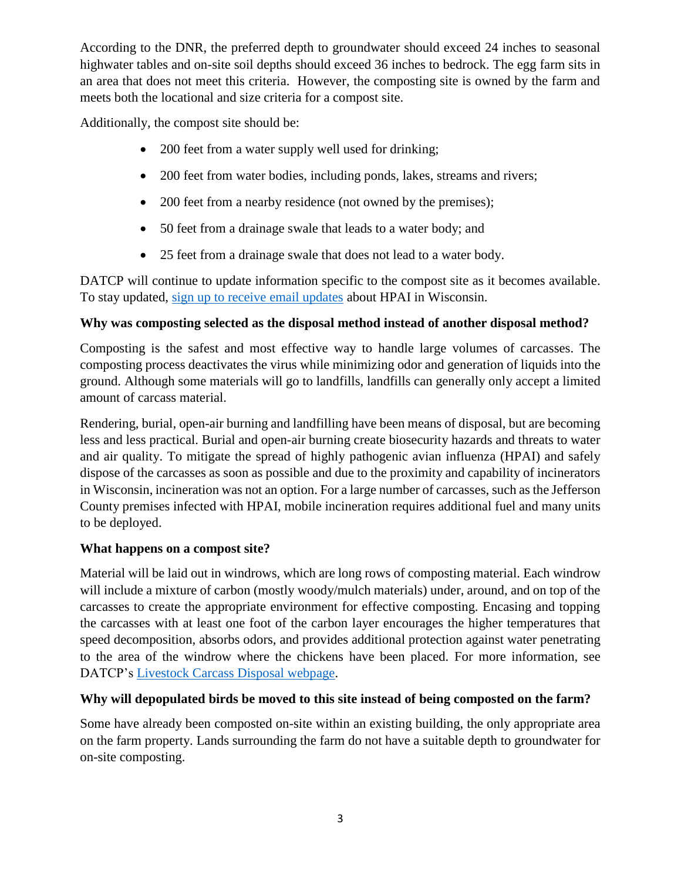According to the DNR, the preferred depth to groundwater should exceed 24 inches to seasonal highwater tables and on-site soil depths should exceed 36 inches to bedrock. The egg farm sits in an area that does not meet this criteria. However, the composting site is owned by the farm and meets both the locational and size criteria for a compost site.

Additionally, the compost site should be:

- 200 feet from a water supply well used for drinking;
- 200 feet from water bodies, including ponds, lakes, streams and rivers;
- 200 feet from a nearby residence (not owned by the premises);
- 50 feet from a drainage swale that leads to a water body; and
- 25 feet from a drainage swale that does not lead to a water body.

DATCP will continue to update information specific to the compost site as it becomes available. To stay updated, [sign up to receive email updates](https://service.govdelivery.com/accounts/WIDATCP/subscriber/new) about HPAI in Wisconsin.

## **Why was composting selected as the disposal method instead of another disposal method?**

Composting is the safest and most effective way to handle large volumes of carcasses. The composting process deactivates the virus while minimizing odor and generation of liquids into the ground. Although some materials will go to landfills, landfills can generally only accept a limited amount of carcass material.

Rendering, burial, open-air burning and landfilling have been means of disposal, but are becoming less and less practical. Burial and open-air burning create biosecurity hazards and threats to water and air quality. To mitigate the spread of highly pathogenic avian influenza (HPAI) and safely dispose of the carcasses as soon as possible and due to the proximity and capability of incinerators in Wisconsin, incineration was not an option. For a large number of carcasses, such as the Jefferson County premises infected with HPAI, mobile incineration requires additional fuel and many units to be deployed.

### **What happens on a compost site?**

Material will be laid out in windrows, which are long rows of composting material. Each windrow will include a mixture of carbon (mostly woody/mulch materials) under, around, and on top of the carcasses to create the appropriate environment for effective composting. Encasing and topping the carcasses with at least one foot of the carbon layer encourages the higher temperatures that speed decomposition, absorbs odors, and provides additional protection against water penetrating to the area of the windrow where the chickens have been placed. For more information, see DATCP's [Livestock Carcass Disposal webpage.](https://datcp.wi.gov/Pages/Programs_Services/CarcassDisposal.aspx)

### **Why will depopulated birds be moved to this site instead of being composted on the farm?**

Some have already been composted on-site within an existing building, the only appropriate area on the farm property. Lands surrounding the farm do not have a suitable depth to groundwater for on-site composting.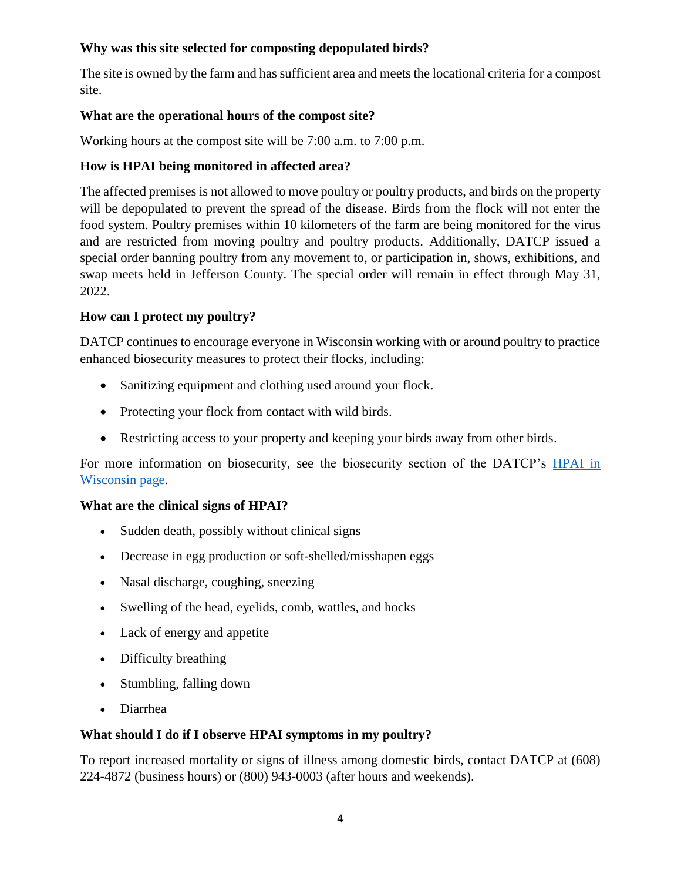## **Why was this site selected for composting depopulated birds?**

The site is owned by the farm and has sufficient area and meets the locational criteria for a compost site.

### **What are the operational hours of the compost site?**

Working hours at the compost site will be 7:00 a.m. to 7:00 p.m.

## **How is HPAI being monitored in affected area?**

The affected premises is not allowed to move poultry or poultry products, and birds on the property will be depopulated to prevent the spread of the disease. Birds from the flock will not enter the food system. Poultry premises within 10 kilometers of the farm are being monitored for the virus and are restricted from moving poultry and poultry products. Additionally, DATCP issued a special order banning poultry from any movement to, or participation in, shows, exhibitions, and swap meets held in Jefferson County. The special order will remain in effect through May 31, 2022.

## **How can I protect my poultry?**

DATCP continues to encourage everyone in Wisconsin working with or around poultry to practice enhanced biosecurity measures to protect their flocks, including:

- Sanitizing equipment and clothing used around your flock.
- Protecting your flock from contact with wild birds.
- Restricting access to your property and keeping your birds away from other birds.

For more information on biosecurity, see the biosecurity section of the DATCP's [HPAI in](https://datcp.wi.gov/Pages/Programs_Services/HPAIWisconsin.aspx)  [Wisconsin page.](https://datcp.wi.gov/Pages/Programs_Services/HPAIWisconsin.aspx)

### **What are the clinical signs of HPAI?**

- Sudden death, possibly without clinical signs
- Decrease in egg production or soft-shelled/misshapen eggs
- Nasal discharge, coughing, sneezing
- Swelling of the head, eyelids, comb, wattles, and hocks
- Lack of energy and appetite
- Difficulty breathing
- Stumbling, falling down
- Diarrhea

### **What should I do if I observe HPAI symptoms in my poultry?**

To report increased mortality or signs of illness among domestic birds, contact DATCP at (608) 224-4872 (business hours) or (800) 943-0003 (after hours and weekends).